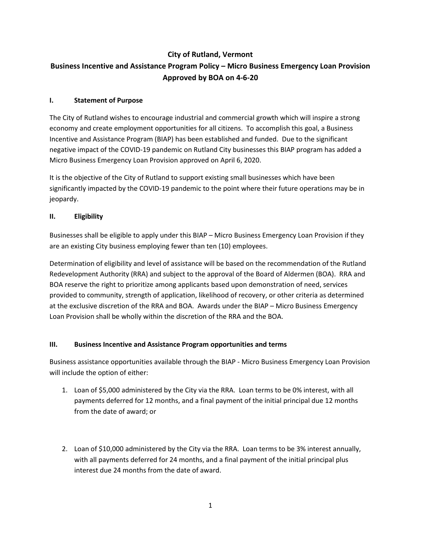# **City of Rutland, Vermont**

# **Business Incentive and Assistance Program Policy – Micro Business Emergency Loan Provision Approved by BOA on 4-6-20**

#### **I. Statement of Purpose**

The City of Rutland wishes to encourage industrial and commercial growth which will inspire a strong economy and create employment opportunities for all citizens. To accomplish this goal, a Business Incentive and Assistance Program (BIAP) has been established and funded. Due to the significant negative impact of the COVID-19 pandemic on Rutland City businesses this BIAP program has added a Micro Business Emergency Loan Provision approved on April 6, 2020.

It is the objective of the City of Rutland to support existing small businesses which have been significantly impacted by the COVID-19 pandemic to the point where their future operations may be in jeopardy.

#### **II. Eligibility**

Businesses shall be eligible to apply under this BIAP – Micro Business Emergency Loan Provision if they are an existing City business employing fewer than ten (10) employees.

Determination of eligibility and level of assistance will be based on the recommendation of the Rutland Redevelopment Authority (RRA) and subject to the approval of the Board of Aldermen (BOA). RRA and BOA reserve the right to prioritize among applicants based upon demonstration of need, services provided to community, strength of application, likelihood of recovery, or other criteria as determined at the exclusive discretion of the RRA and BOA. Awards under the BIAP – Micro Business Emergency Loan Provision shall be wholly within the discretion of the RRA and the BOA.

## **III. Business Incentive and Assistance Program opportunities and terms**

Business assistance opportunities available through the BIAP - Micro Business Emergency Loan Provision will include the option of either:

- 1. Loan of \$5,000 administered by the City via the RRA. Loan terms to be 0% interest, with all payments deferred for 12 months, and a final payment of the initial principal due 12 months from the date of award; or
- 2. Loan of \$10,000 administered by the City via the RRA. Loan terms to be 3% interest annually, with all payments deferred for 24 months, and a final payment of the initial principal plus interest due 24 months from the date of award.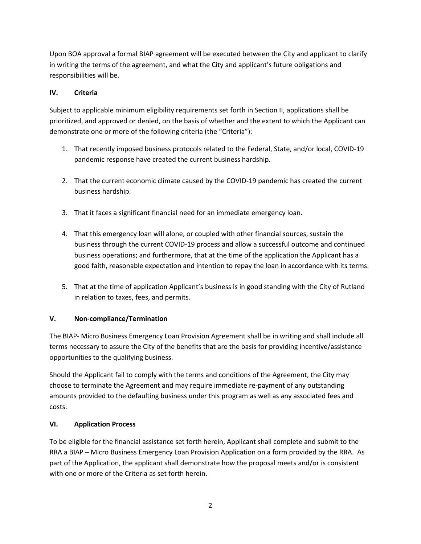Upon BOA approval a formal BIAP agreement will be executed between the City and applicant to clarify in writing the terms of the agreement, and what the City and applicant's future obligations and responsibilities will be.

# **IV. Criteria**

Subject to applicable minimum eligibility requirements set forth in Section II, applications shall be prioritized, and approved or denied, on the basis of whether and the extent to which the Applicant can demonstrate one or more of the following criteria (the "Criteria"):

- 1. That recently imposed business protocols related to the Federal, State, and/or local, COVID-19 pandemic response have created the current business hardship.
- 2. That the current economic climate caused by the COVID-19 pandemic has created the current business hardship.
- 3. That it faces a significant financial need for an immediate emergency loan.
- 4. That this emergency loan will alone, or coupled with other financial sources, sustain the business through the current COVID-19 process and allow a successful outcome and continued business operations; and furthermore, that at the time of the application the Applicant has a good faith, reasonable expectation and intention to repay the loan in accordance with its terms.
- 5. That at the time of application Applicant's business is in good standing with the City of Rutland in relation to taxes, fees, and permits.

## **V. Non-compliance/Termination**

The BIAP- Micro Business Emergency Loan Provision Agreement shall be in writing and shall include all terms necessary to assure the City of the benefits that are the basis for providing incentive/assistance opportunities to the qualifying business.

Should the Applicant fail to comply with the terms and conditions of the Agreement, the City may choose to terminate the Agreement and may require immediate re-payment of any outstanding amounts provided to the defaulting business under this program as well as any associated fees and costs.

## **VI. Application Process**

To be eligible for the financial assistance set forth herein, Applicant shall complete and submit to the RRA a BIAP – Micro Business Emergency Loan Provision Application on a form provided by the RRA. As part of the Application, the applicant shall demonstrate how the proposal meets and/or is consistent with one or more of the Criteria as set forth herein.